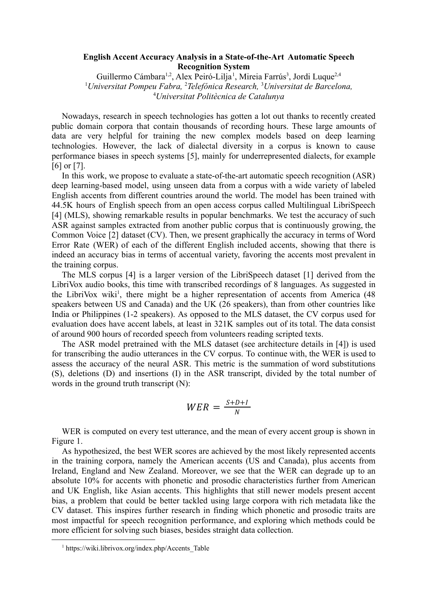## **English Accent Accuracy Analysis in a State-of-the-Art Automatic Speech Recognition System**

Guillermo Cámbara<sup>1,2</sup>, Alex Peiró-Lilja<sup>1</sup>, Mireia Farrús<sup>3</sup>, Jordi Luque<sup>2,4</sup> <sup>1</sup>*Universitat Pompeu Fabra,* <sup>2</sup>*Telefónica Research,* <sup>3</sup>*Universitat de Barcelona,* <sup>4</sup>*Universitat Politècnica de Catalunya*

Nowadays, research in speech technologies has gotten a lot out thanks to recently created public domain corpora that contain thousands of recording hours. These large amounts of data are very helpful for training the new complex models based on deep learning technologies. However, the lack of dialectal diversity in a corpus is known to cause performance biases in speech systems [5], mainly for underrepresented dialects, for example [6] or [7].

In this work, we propose to evaluate a state-of-the-art automatic speech recognition (ASR) deep learning-based model, using unseen data from a corpus with a wide variety of labeled English accents from different countries around the world. The model has been trained with 44.5K hours of English speech from an open access corpus called Multilingual LibriSpeech [4] (MLS), showing remarkable results in popular benchmarks. We test the accuracy of such ASR against samples extracted from another public corpus that is continuously growing, the Common Voice [2] dataset (CV). Then, we present graphically the accuracy in terms of Word Error Rate (WER) of each of the different English included accents, showing that there is indeed an accuracy bias in terms of accentual variety, favoring the accents most prevalent in the training corpus.

The MLS corpus [4] is a larger version of the LibriSpeech dataset [1] derived from the LibriVox audio books, this time with transcribed recordings of 8 languages. As suggested in the LibriVox wiki<sup>1</sup>, there might be a higher representation of accents from America (48 speakers between US and Canada) and the UK (26 speakers), than from other countries like India or Philippines (1-2 speakers). As opposed to the MLS dataset, the CV corpus used for evaluation does have accent labels, at least in 321K samples out of its total. The data consist of around 900 hours of recorded speech from volunteers reading scripted texts.

The ASR model pretrained with the MLS dataset (see architecture details in [4]) is used for transcribing the audio utterances in the CV corpus. To continue with, the WER is used to assess the accuracy of the neural ASR. This metric is the summation of word substitutions (S), deletions (D) and insertions (I) in the ASR transcript, divided by the total number of words in the ground truth transcript (N):

$$
WER = \frac{S+D+I}{N}
$$

WER is computed on every test utterance, and the mean of every accent group is shown in Figure 1.

As hypothesized, the best WER scores are achieved by the most likely represented accents in the training corpora, namely the American accents (US and Canada), plus accents from Ireland, England and New Zealand. Moreover, we see that the WER can degrade up to an absolute 10% for accents with phonetic and prosodic characteristics further from American and UK English, like Asian accents. This highlights that still newer models present accent bias, a problem that could be better tackled using large corpora with rich metadata like the CV dataset. This inspires further research in finding which phonetic and prosodic traits are most impactful for speech recognition performance, and exploring which methods could be more efficient for solving such biases, besides straight data collection.

<sup>&</sup>lt;sup>1</sup> https://wiki.librivox.org/index.php/Accents\_Table